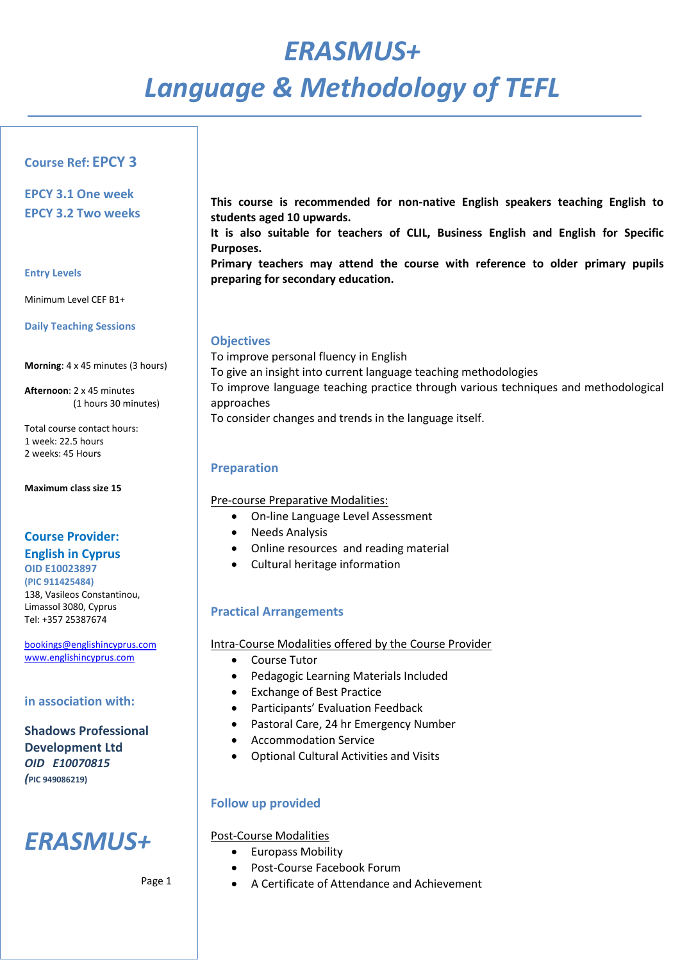# *ERASMUS+ Language & Methodology of TEFL*

## **Course Ref: EPCY 3**

**EPCY 3.1 One week EPCY 3.2 Two weeks**

#### **Entry Levels**

Minimum Level CEF B1+

**Daily Teaching Sessions**

**Morning**: 4 x 45 minutes (3 hours)

**Afternoon**: 2 x 45 minutes (1 hours 30 minutes)

Total course contact hours: 1 week: 22.5 hours 2 weeks: 45 Hours

**Maximum class size 15**

## **Course Provider: English in Cyprus OID E10023897**

**(PIC 911425484)**  138, Vasileos Constantinou, Limassol 3080, Cyprus Tel: +357 25387674

[bookings@englishincyprus.com](mailto:bookings@englishincyprus.com)  [www.englishincyprus.com](http://www.englishincyprus.com/) 

#### **in association with:**

## **Shadows Professional Development Ltd** *OID E10070815 (***PIC 949086219)**

## *ERASMUS+*

Page 1

**This course is recommended for non-native English speakers teaching English to students aged 10 upwards.**

**It is also suitable for teachers of CLIL, Business English and English for Specific Purposes.** 

**Primary teachers may attend the course with reference to older primary pupils preparing for secondary education.**

#### **Objectives**

To improve personal fluency in English To give an insight into current language teaching methodologies To improve language teaching practice through various techniques and methodological approaches To consider changes and trends in the language itself.

#### **Preparation**

Pre-course Preparative Modalities:

- On-line Language Level Assessment
- Needs Analysis
- Online resources and reading material
- Cultural heritage information

## **Practical Arrangements**

#### Intra-Course Modalities offered by the Course Provider

- Course Tutor
- Pedagogic Learning Materials Included
- Exchange of Best Practice
- Participants' Evaluation Feedback
- Pastoral Care, 24 hr Emergency Number
- Accommodation Service
- Optional Cultural Activities and Visits

## **Follow up provided**

## Post-Course Modalities

- Europass Mobility
- Post-Course Facebook Forum
- A Certificate of Attendance and Achievement